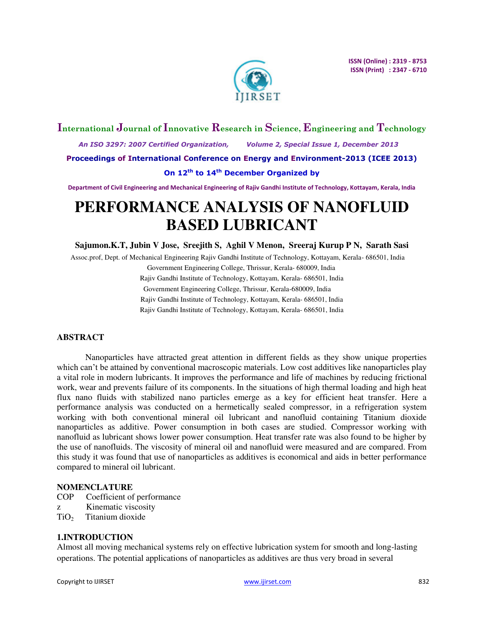

# **International Journal of Innovative Research in Science, Engineering and Technology**

 *An ISO 3297: 2007 Certified Organization, Volume 2, Special Issue 1, December 2013*  **Proceedings of International Conference on Energy and Environment-2013 (ICEE 2013)** 

# **On 12th to 14th December Organized by**

**Department of Civil Engineering and Mechanical Engineering of Rajiv Gandhi Institute of Technology, Kottayam, Kerala, India** 

# **PERFORMANCE ANALYSIS OF NANOFLUID BASED LUBRICANT**

**Sajumon.K.T, Jubin V Jose, Sreejith S, Aghil V Menon, Sreeraj Kurup P N, Sarath Sasi**

Assoc.prof, Dept. of Mechanical Engineering Rajiv Gandhi Institute of Technology, Kottayam, Kerala- 686501, India

Government Engineering College, Thrissur, Kerala- 680009, India Rajiv Gandhi Institute of Technology, Kottayam, Kerala- 686501, India Government Engineering College, Thrissur, Kerala-680009, India Rajiv Gandhi Institute of Technology, Kottayam, Kerala- 686501, India Rajiv Gandhi Institute of Technology, Kottayam, Kerala- 686501, India

# **ABSTRACT**

Nanoparticles have attracted great attention in different fields as they show unique properties which can't be attained by conventional macroscopic materials. Low cost additives like nanoparticles play a vital role in modern lubricants. It improves the performance and life of machines by reducing frictional work, wear and prevents failure of its components. In the situations of high thermal loading and high heat flux nano fluids with stabilized nano particles emerge as a key for efficient heat transfer. Here a performance analysis was conducted on a hermetically sealed compressor, in a refrigeration system working with both conventional mineral oil lubricant and nanofluid containing Titanium dioxide nanoparticles as additive. Power consumption in both cases are studied. Compressor working with nanofluid as lubricant shows lower power consumption. Heat transfer rate was also found to be higher by the use of nanofluids. The viscosity of mineral oil and nanofluid were measured and are compared. From this study it was found that use of nanoparticles as additives is economical and aids in better performance compared to mineral oil lubricant.

# **NOMENCLATURE**

- COP Coefficient of performance
- z Kinematic viscosity
- $TiO<sub>2</sub>$  Titanium dioxide

# **1.INTRODUCTION**

Almost all moving mechanical systems rely on effective lubrication system for smooth and long-lasting operations. The potential applications of nanoparticles as additives are thus very broad in several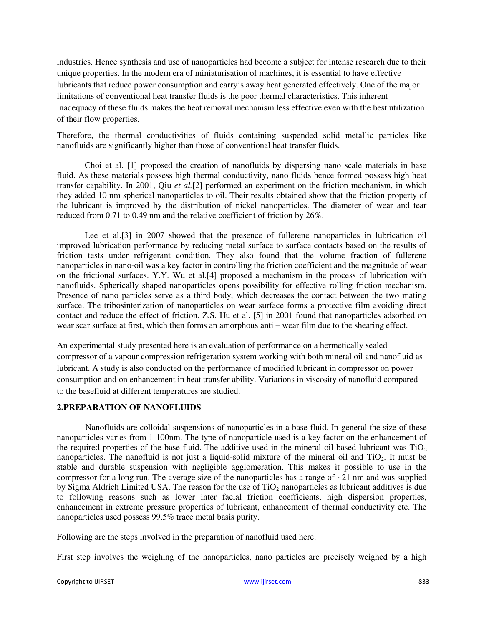industries. Hence synthesis and use of nanoparticles had become a subject for intense research due to their unique properties. In the modern era of miniaturisation of machines, it is essential to have effective lubricants that reduce power consumption and carry's away heat generated effectively. One of the major limitations of conventional heat transfer fluids is the poor thermal characteristics. This inherent inadequacy of these fluids makes the heat removal mechanism less effective even with the best utilization of their flow properties.

Therefore, the thermal conductivities of fluids containing suspended solid metallic particles like nanofluids are significantly higher than those of conventional heat transfer fluids.

Choi et al. [1] proposed the creation of nanofluids by dispersing nano scale materials in base fluid. As these materials possess high thermal conductivity, nano fluids hence formed possess high heat transfer capability. In 2001, Qiu *et al.*[2] performed an experiment on the friction mechanism, in which they added 10 nm spherical nanoparticles to oil. Their results obtained show that the friction property of the lubricant is improved by the distribution of nickel nanoparticles. The diameter of wear and tear reduced from 0.71 to 0.49 nm and the relative coefficient of friction by 26%.

Lee et al.<sup>[3]</sup> in 2007 showed that the presence of fullerene nanoparticles in lubrication oil improved lubrication performance by reducing metal surface to surface contacts based on the results of friction tests under refrigerant condition. They also found that the volume fraction of fullerene nanoparticles in nano-oil was a key factor in controlling the friction coefficient and the magnitude of wear on the frictional surfaces. Y.Y. Wu et al.[4] proposed a mechanism in the process of lubrication with nanofluids. Spherically shaped nanoparticles opens possibility for effective rolling friction mechanism. Presence of nano particles serve as a third body, which decreases the contact between the two mating surface. The tribosinterization of nanoparticles on wear surface forms a protective film avoiding direct contact and reduce the effect of friction. Z.S. Hu et al. [5] in 2001 found that nanoparticles adsorbed on wear scar surface at first, which then forms an amorphous anti – wear film due to the shearing effect.

An experimental study presented here is an evaluation of performance on a hermetically sealed compressor of a vapour compression refrigeration system working with both mineral oil and nanofluid as lubricant. A study is also conducted on the performance of modified lubricant in compressor on power consumption and on enhancement in heat transfer ability. Variations in viscosity of nanofluid compared to the basefluid at different temperatures are studied.

# **2.PREPARATION OF NANOFLUIDS**

Nanofluids are colloidal suspensions of nanoparticles in a base fluid. In general the size of these nanoparticles varies from 1-100nm. The type of nanoparticle used is a key factor on the enhancement of the required properties of the base fluid. The additive used in the mineral oil based lubricant was  $TiO<sub>2</sub>$ nanoparticles. The nanofluid is not just a liquid-solid mixture of the mineral oil and  $TiO<sub>2</sub>$ . It must be stable and durable suspension with negligible agglomeration. This makes it possible to use in the compressor for a long run. The average size of the nanoparticles has a range of  $\sim 21$  nm and was supplied by Sigma Aldrich Limited USA. The reason for the use of  $TiO<sub>2</sub>$  nanoparticles as lubricant additives is due to following reasons such as lower inter facial friction coefficients, high dispersion properties, enhancement in extreme pressure properties of lubricant, enhancement of thermal conductivity etc. The nanoparticles used possess 99.5% trace metal basis purity.

Following are the steps involved in the preparation of nanofluid used here:

First step involves the weighing of the nanoparticles, nano particles are precisely weighed by a high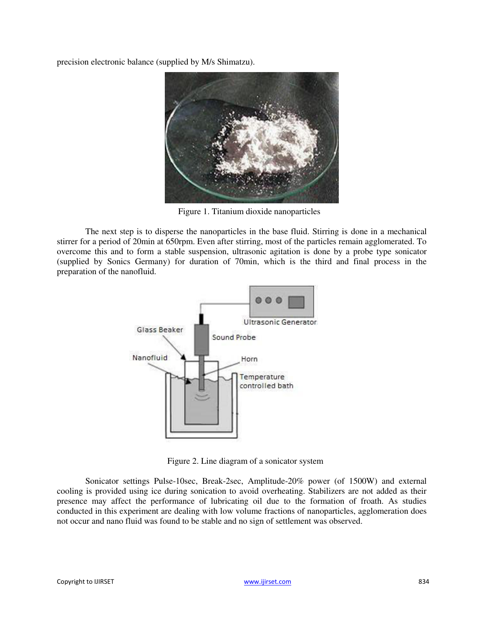precision electronic balance (supplied by M/s Shimatzu).



Figure 1. Titanium dioxide nanoparticles

The next step is to disperse the nanoparticles in the base fluid. Stirring is done in a mechanical stirrer for a period of 20min at 650rpm. Even after stirring, most of the particles remain agglomerated. To overcome this and to form a stable suspension, ultrasonic agitation is done by a probe type sonicator (supplied by Sonics Germany) for duration of 70min, which is the third and final process in the preparation of the nanofluid.



Figure 2. Line diagram of a sonicator system

Sonicator settings Pulse-10sec, Break-2sec, Amplitude-20% power (of 1500W) and external cooling is provided using ice during sonication to avoid overheating. Stabilizers are not added as their presence may affect the performance of lubricating oil due to the formation of froath. As studies conducted in this experiment are dealing with low volume fractions of nanoparticles, agglomeration does not occur and nano fluid was found to be stable and no sign of settlement was observed.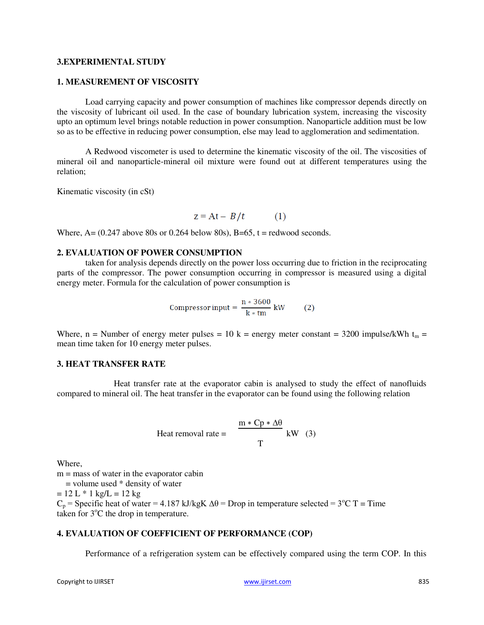# **3.EXPERIMENTAL STUDY**

# **1. MEASUREMENT OF VISCOSITY**

Load carrying capacity and power consumption of machines like compressor depends directly on the viscosity of lubricant oil used. In the case of boundary lubrication system, increasing the viscosity upto an optimum level brings notable reduction in power consumption. Nanoparticle addition must be low so as to be effective in reducing power consumption, else may lead to agglomeration and sedimentation.

A Redwood viscometer is used to determine the kinematic viscosity of the oil. The viscosities of mineral oil and nanoparticle-mineral oil mixture were found out at different temperatures using the relation;

Kinematic viscosity (in cSt)

$$
z = At - B/t \tag{1}
$$

Where,  $A = (0.247$  above 80s or 0.264 below 80s),  $B=65$ ,  $t =$  redwood seconds.

#### **2. EVALUATION OF POWER CONSUMPTION**

taken for analysis depends directly on the power loss occurring due to friction in the reciprocating parts of the compressor. The power consumption occurring in compressor is measured using a digital energy meter. Formula for the calculation of power consumption is

Compression input = 
$$
\frac{n * 3600}{k * tm} \text{ kW} \qquad (2)
$$

Where, n = Number of energy meter pulses = 10 k = energy meter constant = 3200 impulse/kWh t<sub>m</sub> = mean time taken for 10 energy meter pulses.

#### **3. HEAT TRANSFER RATE**

Heat transfer rate at the evaporator cabin is analysed to study the effect of nanofluids compared to mineral oil. The heat transfer in the evaporator can be found using the following relation

Heat removal rate = 
$$
\frac{m * Cp * \Delta\theta}{T} kW
$$
 (3)

Where,

 $m =$  mass of water in the evaporator cabin

 $=$  volume used  $*$  density of water

 $= 12$  L  $*$  1 kg/L  $= 12$  kg

 $C_p$  = Specific heat of water = 4.187 kJ/kgK  $\Delta\theta$  = Drop in temperature selected = 3<sup>o</sup>C T = Time taken for  $3^{\circ}$ C the drop in temperature.

# **4. EVALUATION OF COEFFICIENT OF PERFORMANCE (COP)**

Performance of a refrigeration system can be effectively compared using the term COP. In this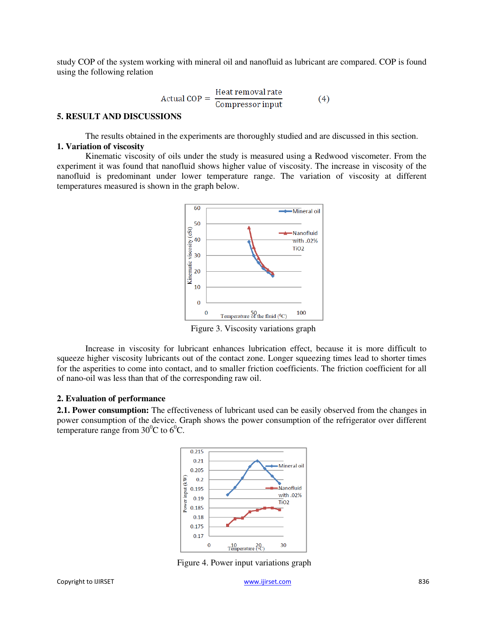study COP of the system working with mineral oil and nanofluid as lubricant are compared. COP is found using the following relation

$$
Actual COP = \frac{Heat removal rate}{Compresor input}
$$
 (4)

#### **5. RESULT AND DISCUSSIONS**

The results obtained in the experiments are thoroughly studied and are discussed in this section. **1. Variation of viscosity**

Kinematic viscosity of oils under the study is measured using a Redwood viscometer. From the experiment it was found that nanofluid shows higher value of viscosity. The increase in viscosity of the nanofluid is predominant under lower temperature range. The variation of viscosity at different temperatures measured is shown in the graph below.



Figure 3. Viscosity variations graph

Increase in viscosity for lubricant enhances lubrication effect, because it is more difficult to squeeze higher viscosity lubricants out of the contact zone. Longer squeezing times lead to shorter times for the asperities to come into contact, and to smaller friction coefficients. The friction coefficient for all of nano-oil was less than that of the corresponding raw oil.

#### **2. Evaluation of performance**

**2.1. Power consumption:** The effectiveness of lubricant used can be easily observed from the changes in power consumption of the device. Graph shows the power consumption of the refrigerator over different temperature range from  $30^{\circ}$ C to  $6^{\circ}$ C.



Figure 4. Power input variations graph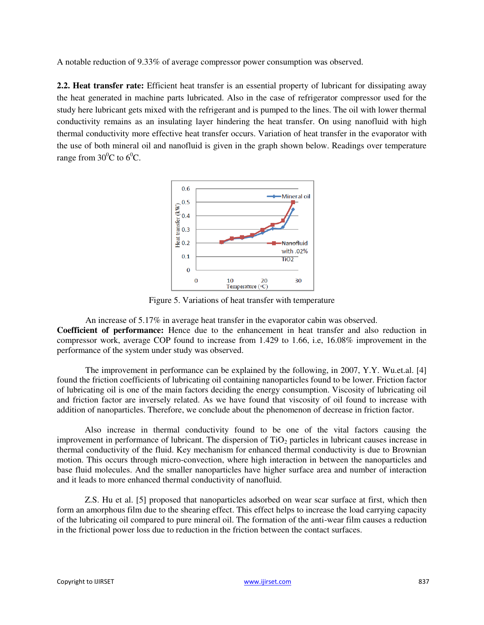A notable reduction of 9.33% of average compressor power consumption was observed.

**2.2. Heat transfer rate:** Efficient heat transfer is an essential property of lubricant for dissipating away the heat generated in machine parts lubricated. Also in the case of refrigerator compressor used for the study here lubricant gets mixed with the refrigerant and is pumped to the lines. The oil with lower thermal conductivity remains as an insulating layer hindering the heat transfer. On using nanofluid with high thermal conductivity more effective heat transfer occurs. Variation of heat transfer in the evaporator with the use of both mineral oil and nanofluid is given in the graph shown below. Readings over temperature range from  $30^{\circ}$ C to  $6^{\circ}$ C.



Figure 5. Variations of heat transfer with temperature

An increase of 5.17% in average heat transfer in the evaporator cabin was observed.

**Coefficient of performance:** Hence due to the enhancement in heat transfer and also reduction in compressor work, average COP found to increase from 1.429 to 1.66, i.e, 16.08% improvement in the performance of the system under study was observed.

The improvement in performance can be explained by the following, in 2007, Y.Y. Wu.et.al. [4] found the friction coefficients of lubricating oil containing nanoparticles found to be lower. Friction factor of lubricating oil is one of the main factors deciding the energy consumption. Viscosity of lubricating oil and friction factor are inversely related. As we have found that viscosity of oil found to increase with addition of nanoparticles. Therefore, we conclude about the phenomenon of decrease in friction factor.

Also increase in thermal conductivity found to be one of the vital factors causing the improvement in performance of lubricant. The dispersion of  $TiO<sub>2</sub>$  particles in lubricant causes increase in thermal conductivity of the fluid. Key mechanism for enhanced thermal conductivity is due to Brownian motion. This occurs through micro-convection, where high interaction in between the nanoparticles and base fluid molecules. And the smaller nanoparticles have higher surface area and number of interaction and it leads to more enhanced thermal conductivity of nanofluid.

Z.S. Hu et al. [5] proposed that nanoparticles adsorbed on wear scar surface at first, which then form an amorphous film due to the shearing effect. This effect helps to increase the load carrying capacity of the lubricating oil compared to pure mineral oil. The formation of the anti-wear film causes a reduction in the frictional power loss due to reduction in the friction between the contact surfaces.